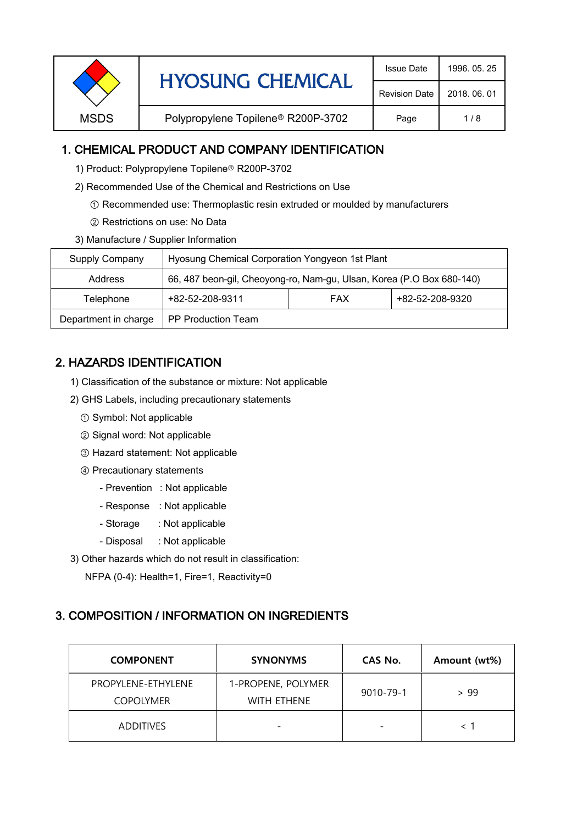| <b>Revision Date</b><br>2018, 06, 01<br>Polypropylene Topilene <sup>®</sup> R200P-3702<br><b>MSDS</b><br>Page<br>1/8 |  | <b>HYOSUNG CHEMICAL</b> | <b>Issue Date</b> | 1996, 05, 25 |
|----------------------------------------------------------------------------------------------------------------------|--|-------------------------|-------------------|--------------|
|                                                                                                                      |  |                         |                   |              |
|                                                                                                                      |  |                         |                   |              |

### 1. CHEMICAL PRODUCT AND COMPANY IDENTIFICATION

- 1) Product: Polypropylene Topilene<sup>®</sup> R200P-3702
- 2) Recommended Use of the Chemical and Restrictions on Use
	- ① Recommended use: Thermoplastic resin extruded or moulded by manufacturers
	- ② Restrictions on use: No Data
- 3) Manufacture / Supplier Information

| Supply Company       | Hyosung Chemical Corporation Yongyeon 1st Plant                       |            |                 |  |
|----------------------|-----------------------------------------------------------------------|------------|-----------------|--|
| Address              | 66, 487 beon-gil, Cheoyong-ro, Nam-gu, Ulsan, Korea (P.O Box 680-140) |            |                 |  |
| Telephone            | +82-52-208-9311                                                       | <b>FAX</b> | +82-52-208-9320 |  |
| Department in charge | <b>PP Production Team</b>                                             |            |                 |  |

## 2. HAZARDS IDENTIFICATION

- 1) Classification of the substance or mixture: Not applicable
- 2) GHS Labels, including precautionary statements
	- ① Symbol: Not applicable
	- ② Signal word: Not applicable
	- ③ Hazard statement: Not applicable
	- ④ Precautionary statements
		- Prevention : Not applicable
		- Response : Not applicable
		- Storage : Not applicable
		- Disposal : Not applicable
- 3) Other hazards which do not result in classification:

NFPA (0-4): Health=1, Fire=1, Reactivity=0

# 3. COMPOSITION / INFORMATION ON INGREDIENTS

| <b>COMPONENT</b>                       | <b>SYNONYMS</b>                          | CAS No.                  | Amount (wt%) |
|----------------------------------------|------------------------------------------|--------------------------|--------------|
| PROPYLENE-ETHYLENE<br><b>COPOLYMER</b> | 1-PROPENE, POLYMER<br><b>WITH ETHENE</b> | $9010 - 79 - 1$          | > 99         |
| <b>ADDITIVES</b>                       | $\overline{\phantom{0}}$                 | $\overline{\phantom{0}}$ |              |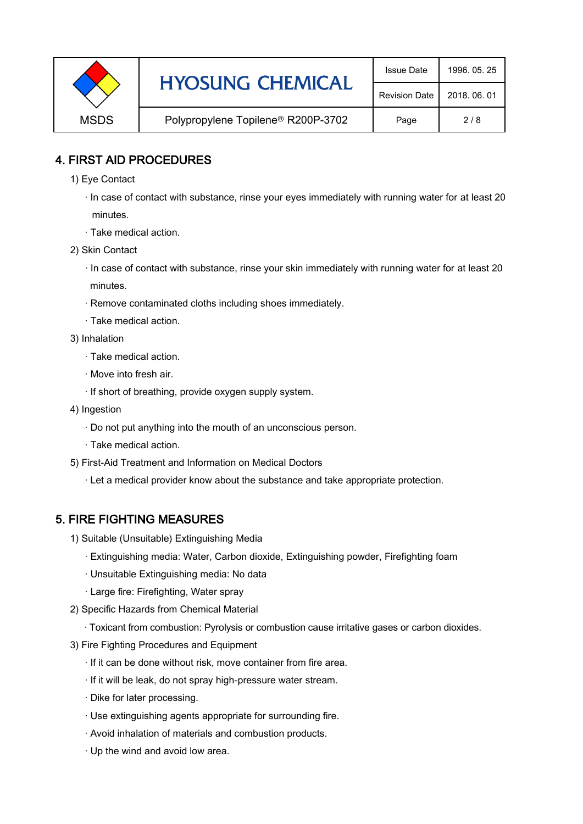|             | <b>HYOSUNG CHEMICAL</b>                        | <b>Issue Date</b>    | 1996, 05, 25 |
|-------------|------------------------------------------------|----------------------|--------------|
|             |                                                | <b>Revision Date</b> | 2018, 06, 01 |
| <b>MSDS</b> | Polypropylene Topilene <sup>®</sup> R200P-3702 | Page                 | 2/8          |

#### 4. FIRST AID PROCEDURES

- 1) Eye Contact
	- · In case of contact with substance, rinse your eyes immediately with running water for at least 20 minutes.
	- · Take medical action.
- 2) Skin Contact
	- · In case of contact with substance, rinse your skin immediately with running water for at least 20 minutes.
	- · Remove contaminated cloths including shoes immediately.
	- · Take medical action.
- 3) Inhalation
	- · Take medical action.
	- · Move into fresh air.
	- · If short of breathing, provide oxygen supply system.
- 4) Ingestion
	- · Do not put anything into the mouth of an unconscious person.
	- · Take medical action.
- 5) First-Aid Treatment and Information on Medical Doctors
	- · Let a medical provider know about the substance and take appropriate protection.

### 5. FIRE FIGHTING MEASURES

- 1) Suitable (Unsuitable) Extinguishing Media
	- · Extinguishing media: Water, Carbon dioxide, Extinguishing powder, Firefighting foam
	- · Unsuitable Extinguishing media: No data
	- · Large fire: Firefighting, Water spray
- 2) Specific Hazards from Chemical Material
	- · Toxicant from combustion: Pyrolysis or combustion cause irritative gases or carbon dioxides.
- 3) Fire Fighting Procedures and Equipment
	- · If it can be done without risk, move container from fire area.
	- · If it will be leak, do not spray high-pressure water stream.
	- · Dike for later processing.
	- · Use extinguishing agents appropriate for surrounding fire.
	- · Avoid inhalation of materials and combustion products.
	- · Up the wind and avoid low area.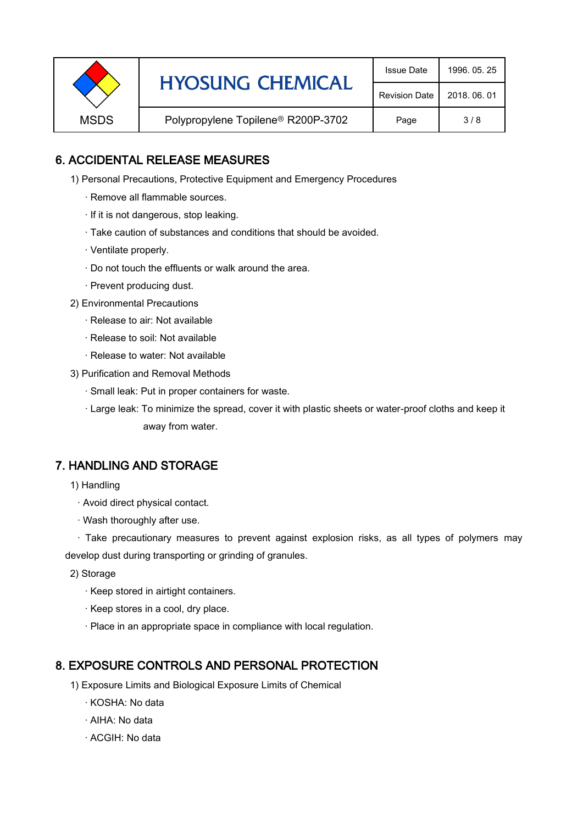|             | <b>HYOSUNG CHEMICAL</b>            | <b>Issue Date</b>    | 1996, 05, 25 |
|-------------|------------------------------------|----------------------|--------------|
|             |                                    | <b>Revision Date</b> | 2018, 06, 01 |
| <b>MSDS</b> | Polypropylene Topilene® R200P-3702 | Page                 | 3/8          |

### 6. ACCIDENTAL RELEASE MEASURES

- 1) Personal Precautions, Protective Equipment and Emergency Procedures
	- · Remove all flammable sources.
	- · If it is not dangerous, stop leaking.
	- · Take caution of substances and conditions that should be avoided.
	- · Ventilate properly.
	- · Do not touch the effluents or walk around the area.
	- · Prevent producing dust.
- 2) Environmental Precautions
	- · Release to air: Not available
	- · Release to soil: Not available
	- · Release to water: Not available
- 3) Purification and Removal Methods
	- · Small leak: Put in proper containers for waste.
	- ,· Large leak: To minimize the spread, cover it with plastic sheets or water-proof cloths and keep it away from water.

#### 7. HANDLING AND STORAGE

- 1) Handling
	- · Avoid direct physical contact.
	- · Wash thoroughly after use.

· Take precautionary measures to prevent against explosion risks, as all types of polymers may develop dust during transporting or grinding of granules.

- 2) Storage
	- · Keep stored in airtight containers.
	- · Keep stores in a cool, dry place.
	- · Place in an appropriate space in compliance with local regulation.

#### 8. EXPOSURE CONTROLS AND PERSONAL PROTECTION

- 1) Exposure Limits and Biological Exposure Limits of Chemical
	- · KOSHA: No data
	- · AIHA: No data
	- · ACGIH: No data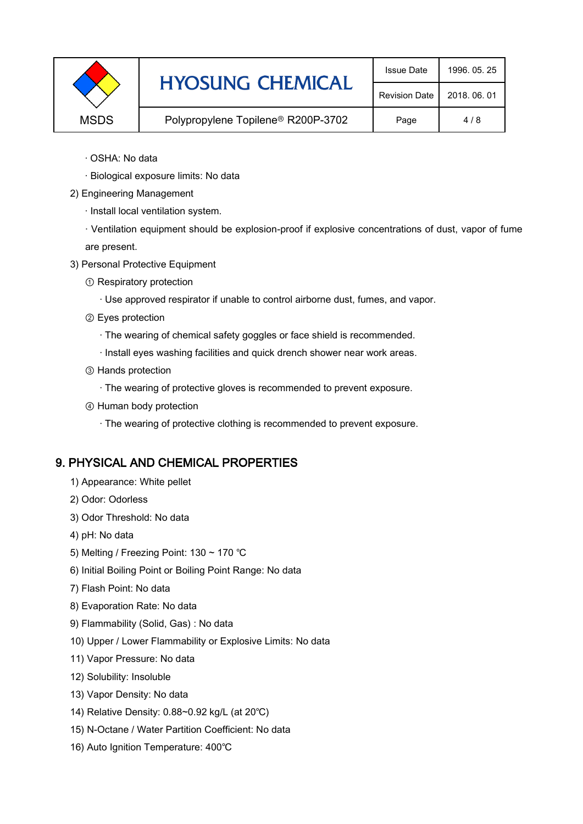|             | <b>HYOSUNG CHEMICAL</b>                        | <b>Issue Date</b> | 1996, 05, 25 |
|-------------|------------------------------------------------|-------------------|--------------|
|             | <b>Revision Date</b>                           | 2018, 06, 01      |              |
| <b>MSDS</b> | Polypropylene Topilene <sup>®</sup> R200P-3702 | Page              | 4/8          |

- · OSHA: No data
- · Biological exposure limits: No data
- 2) Engineering Management
	- · Install local ventilation system.

· Ventilation equipment should be explosion-proof if explosive concentrations of dust, vapor of fume are present.

- 3) Personal Protective Equipment
	- ① Respiratory protection
		- · Use approved respirator if unable to control airborne dust, fumes, and vapor.
	- ② Eyes protection
		- · The wearing of chemical safety goggles or face shield is recommended.
		- · Install eyes washing facilities and quick drench shower near work areas.
	- ③ Hands protection
		- · The wearing of protective gloves is recommended to prevent exposure.
	- ④ Human body protection
		- · The wearing of protective clothing is recommended to prevent exposure.

### 9. PHYSICAL AND CHEMICAL PROPERTIES

- 1) Appearance: White pellet
- 2) Odor: Odorless
- 3) Odor Threshold: No data
- 4) pH: No data
- 5) Melting / Freezing Point: 130 ~ 170 ℃
- 6) Initial Boiling Point or Boiling Point Range: No data
- 7) Flash Point: No data
- 8) Evaporation Rate: No data
- 9) Flammability (Solid, Gas) : No data
- 10) Upper / Lower Flammability or Explosive Limits: No data
- 11) Vapor Pressure: No data
- 12) Solubility: Insoluble
- 13) Vapor Density: No data
- 14) Relative Density: 0.88~0.92 kg/L (at 20℃)
- 15) N-Octane / Water Partition Coefficient: No data
- 16) Auto Ignition Temperature: 400℃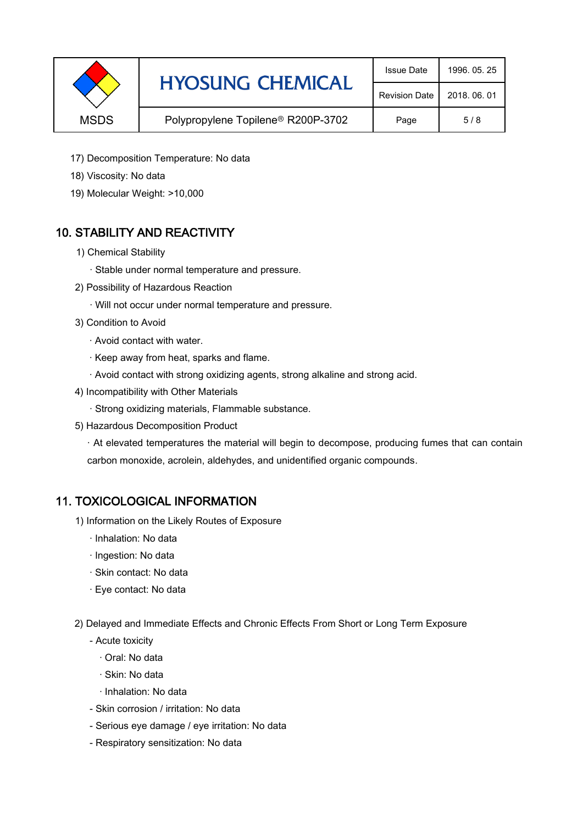|             | <b>HYOSUNG CHEMICAL</b>                        | <b>Issue Date</b>    | 1996, 05, 25 |
|-------------|------------------------------------------------|----------------------|--------------|
|             |                                                | <b>Revision Date</b> | 2018, 06, 01 |
| <b>MSDS</b> | Polypropylene Topilene <sup>®</sup> R200P-3702 | Page                 | 5/8          |

- 17) Decomposition Temperature: No data
- 18) Viscosity: No data
- 19) Molecular Weight: >10,000

### 10. STABILITY AND REACTIVITY

- 1) Chemical Stability
	- · Stable under normal temperature and pressure.
- 2) Possibility of Hazardous Reaction
	- · Will not occur under normal temperature and pressure.
- 3) Condition to Avoid
	- · Avoid contact with water.
	- · Keep away from heat, sparks and flame.
	- · Avoid contact with strong oxidizing agents, strong alkaline and strong acid.
- 4) Incompatibility with Other Materials
	- · Strong oxidizing materials, Flammable substance.
- 5) Hazardous Decomposition Product

· At elevated temperatures the material will begin to decompose, producing fumes that can contain carbon monoxide, acrolein, aldehydes, and unidentified organic compounds.

#### 11. TOXICOLOGICAL INFORMATION

- 1) Information on the Likely Routes of Exposure
	- · Inhalation: No data
	- · Ingestion: No data
	- · Skin contact: No data
	- · Eye contact: No data
- 2) Delayed and Immediate Effects and Chronic Effects From Short or Long Term Exposure
	- Acute toxicity
		- · Oral: No data
		- · Skin: No data
		- · Inhalation: No data
	- Skin corrosion / irritation: No data
	- Serious eye damage / eye irritation: No data
	- Respiratory sensitization: No data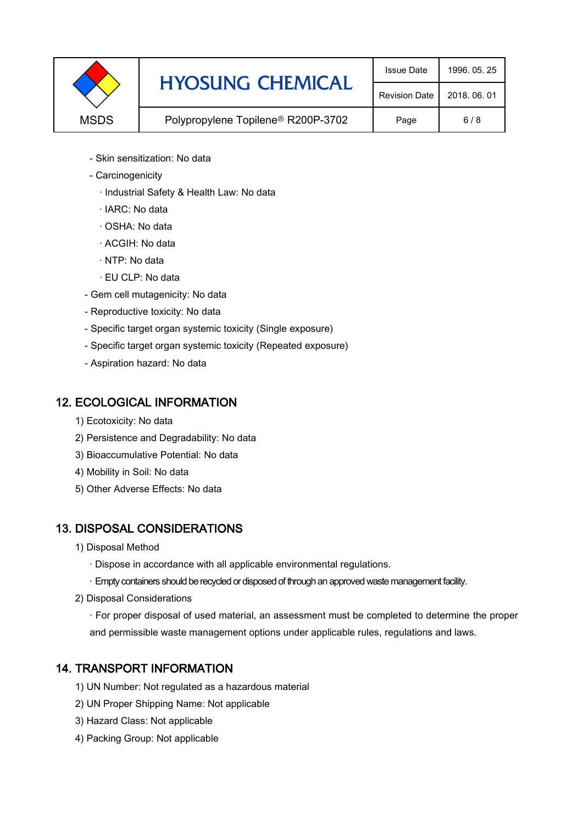|             | <b>HYOSUNG CHEMICAL</b>                        | <b>Issue Date</b>    | 1996, 05, 25 |
|-------------|------------------------------------------------|----------------------|--------------|
|             |                                                | <b>Revision Date</b> | 2018, 06, 01 |
| <b>MSDS</b> | Polypropylene Topilene <sup>®</sup> R200P-3702 | Page                 | 6/8          |

- Skin sensitization: No data
- Carcinogenicity
	- · Industrial Safety & Health Law: No data
	- · IARC: No data
	- · OSHA: No data
	- · ACGIH: No data
	- · NTP: No data
	- · EU CLP: No data
- Gem cell mutagenicity: No data
- Reproductive toxicity: No data
- Specific target organ systemic toxicity (Single exposure)
- Specific target organ systemic toxicity (Repeated exposure)
- Aspiration hazard: No data

#### 12. ECOLOGICAL INFORMATION

- 1) Ecotoxicity: No data
- 2) Persistence and Degradability: No data
- 3) Bioaccumulative Potential: No data
- 4) Mobility in Soil: No data
- 5) Other Adverse Effects: No data

### 13. DISPOSAL CONSIDERATIONS

- 1) Disposal Method
	- · Dispose in accordance with all applicable environmental regulations.
	- · Empty containers should be recycled or disposed of through an approved waste management facility.
- 2) Disposal Considerations
	- · For proper disposal of used material, an assessment must be completed to determine the proper and permissible waste management options under applicable rules, regulations and laws.

### 14. TRANSPORT INFORMATION

- 1) UN Number: Not regulated as a hazardous material
- 2) UN Proper Shipping Name: Not applicable
- 3) Hazard Class: Not applicable
- 4) Packing Group: Not applicable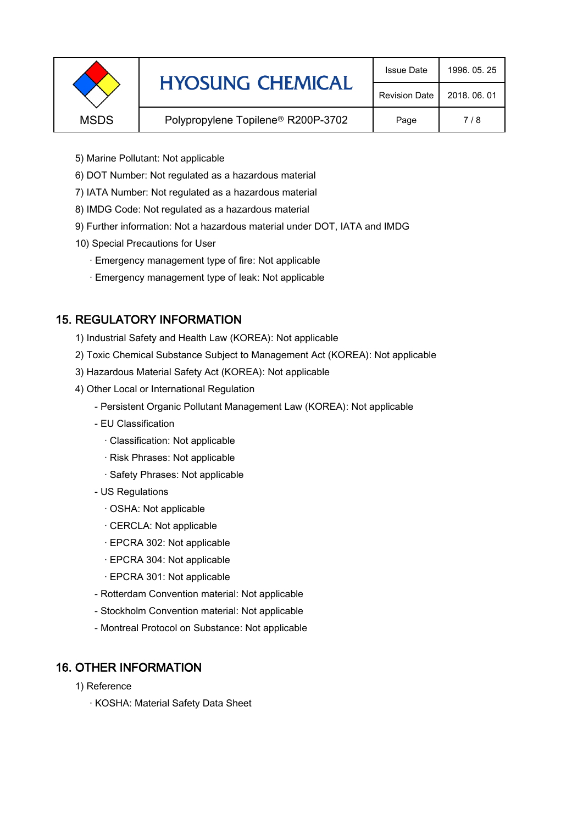|             | <b>HYOSUNG CHEMICAL</b>                        | <b>Issue Date</b>    | 1996, 05, 25 |
|-------------|------------------------------------------------|----------------------|--------------|
|             |                                                | <b>Revision Date</b> | 2018, 06, 01 |
| <b>MSDS</b> | Polypropylene Topilene <sup>®</sup> R200P-3702 | Page                 | 7/8          |
|             |                                                |                      |              |

- 5) Marine Pollutant: Not applicable
- 6) DOT Number: Not regulated as a hazardous material
- 7) IATA Number: Not regulated as a hazardous material
- 8) IMDG Code: Not regulated as a hazardous material
- 9) Further information: Not a hazardous material under DOT, IATA and IMDG
- 10) Special Precautions for User
	- · Emergency management type of fire: Not applicable
	- · Emergency management type of leak: Not applicable

### 15. REGULATORY INFORMATION

- 1) Industrial Safety and Health Law (KOREA): Not applicable
- 2) Toxic Chemical Substance Subject to Management Act (KOREA): Not applicable
- 3) Hazardous Material Safety Act (KOREA): Not applicable
- 4) Other Local or International Regulation
	- Persistent Organic Pollutant Management Law (KOREA): Not applicable
	- EU Classification
		- · Classification: Not applicable
		- · Risk Phrases: Not applicable
		- · Safety Phrases: Not applicable
	- US Regulations
		- · OSHA: Not applicable
		- · CERCLA: Not applicable
		- · EPCRA 302: Not applicable
		- · EPCRA 304: Not applicable
		- · EPCRA 301: Not applicable
	- Rotterdam Convention material: Not applicable
	- Stockholm Convention material: Not applicable
	- Montreal Protocol on Substance: Not applicable

### 16. OTHER INFORMATION

- 1) Reference
	- · KOSHA: Material Safety Data Sheet